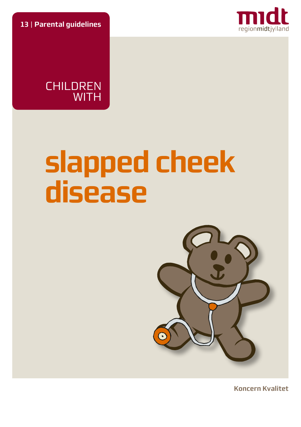**13** | **Parental guidelines**



**CHILDREN WITH** 

# **slapped cheek disease**



**Koncern Kvalitet**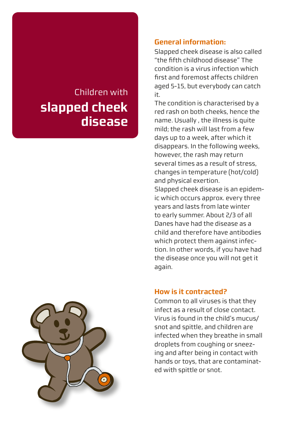# Children with **slapped cheek disease**

#### **General information:**

Slapped cheek disease is also called "the fifth childhood disease" The condition is a virus infection which first and foremost affects children aged 5-15, but everybody can catch it.

The condition is characterised by a red rash on both cheeks, hence the name. Usually , the illness is quite mild; the rash will last from a few days up to a week, after which it disappears. In the following weeks, however, the rash may return several times as a result of stress, changes in temperature (hot/cold) and physical exertion.

Slapped cheek disease is an epidemic which occurs approx. every three years and lasts from late winter to early summer. About 2/3 of all Danes have had the disease as a child and therefore have antibodies which protect them against infection. In other words, if you have had the disease once you will not get it again.

#### **How is it contracted?**

Common to all viruses is that they infect as a result of close contact. Virus is found in the child's mucus/ snot and spittle, and children are infected when they breathe in small droplets from coughing or sneezing and after being in contact with hands or toys, that are contaminated with spittle or snot.

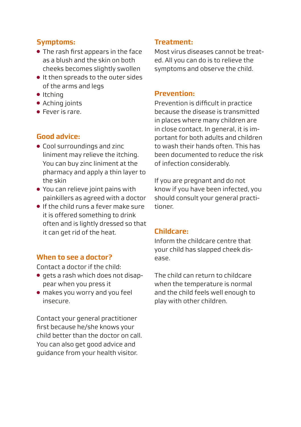# **Symptoms:**

- The rash first appears in the face as a blush and the skin on both cheeks becomes slightly swollen
- It then spreads to the outer sides of the arms and legs
- Itching
- Aching joints
- Fever is rare.

# **Good advice:**

- Cool surroundings and zinc liniment may relieve the itching. You can buy zinc liniment at the pharmacy and apply a thin layer to the skin
- You can relieve joint pains with painkillers as agreed with a doctor
- If the child runs a fever make sure it is offered something to drink often and is lightly dressed so that it can get rid of the heat.

# **When to see a doctor?**

Contact a doctor if the child:

- gets a rash which does not disappear when you press it
- makes you worry and you feel insecure.

Contact your general practitioner first because he/she knows your child better than the doctor on call. You can also get good advice and guidance from your health visitor.

# **Treatment:**

Most virus diseases cannot be treated. All you can do is to relieve the symptoms and observe the child.

# **Prevention:**

Prevention is difficult in practice because the disease is transmitted in places where many children are in close contact. In general, it is important for both adults and children to wash their hands often. This has been documented to reduce the risk of infection considerably.

If you are pregnant and do not know if you have been infected, you should consult your general practitioner.

#### **Childcare:**

Inform the childcare centre that your child has slapped cheek disease.

The child can return to childcare when the temperature is normal and the child feels well enough to play with other children.